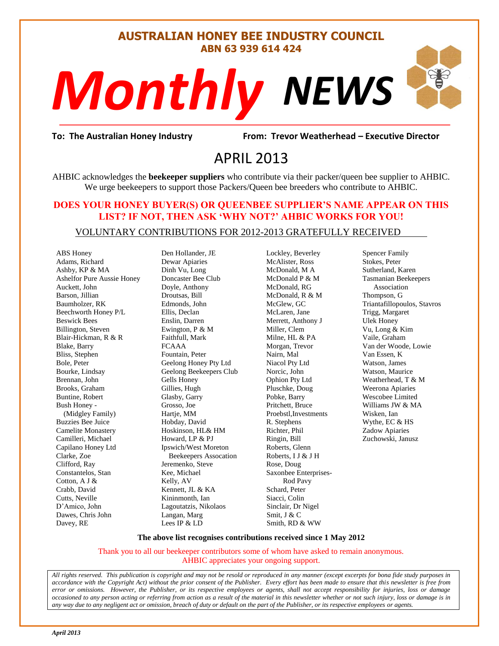#### **AUSTRALIAN HONEY BEE INDUSTRY COUNCIL ABN 63 939 614 424**

# *NEWS Monthly*

evor Weatherh<br>3 **To: The Australian Honey Industry From: Trevor Weatherhead – Executive Director**

## APRIL 2013

AHBIC acknowledges the **beekeeper suppliers** who contribute via their packer/queen bee supplier to AHBIC. We urge beekeepers to support those Packers/Queen bee breeders who contribute to AHBIC.

#### **DOES YOUR HONEY BUYER(S) OR QUEENBEE SUPPLIER'S NAME APPEAR ON THIS LIST? IF NOT, THEN ASK 'WHY NOT?' AHBIC WORKS FOR YOU!**

#### VOLUNTARY CONTRIBUTIONS FOR 2012-2013 GRATEFULLY RECEIVED

ABS Honey Adams, Richard Ashby, KP & MA Ashelfor Pure Aussie Honey Auckett, John Barson, Jillian Baumholzer, RK Beechworth Honey P/L Beswick Bees Billington, Steven Blair-Hickman, R & R Blake, Barry Bliss, Stephen Bole, Peter Bourke, Lindsay Brennan, John Brooks, Graham Buntine, Robert Bush Honey - (Midgley Family) Buzzies Bee Juice Camelite Monastery Camilleri, Michael Capilano Honey Ltd Clarke, Zoe Clifford, Ray Constantelos, Stan Cotton, A J & Crabb, David Cutts, Neville D'Amico, John Dawes, Chris John Davey, RE

Den Hollander, JE Dewar Apiaries Dinh Vu, Long Doncaster Bee Club Doyle, Anthony Droutsas, Bill Edmonds, John Ellis, Declan Enslin, Darren Ewington, P & M Faithfull, Mark FCAAA Fountain, Peter Geelong Honey Pty Ltd Geelong Beekeepers Club Gells Honey Gillies, Hugh Glasby, Garry Grosso, Joe Hartie, MM Hobday, David Hoskinson, HL& HM Howard, LP & PJ Ipswich/West Moreton Beekeepers Assocation Jeremenko, Steve Kee, Michael Kelly, AV Kennett, JL & KA Kininmonth, Ian Lagoutatzis, Nikolaos Langan, Marg Lees IP & LD

Lockley, Beverley McAlister, Ross McDonald, M A McDonald P & M McDonald, RG McDonald, R & M McGlew, GC McLaren, Jane Merrett, Anthony J Miller, Clem Milne, HL & PA Morgan, Trevor Nairn, Mal Niacol Pty Ltd Norcic, John Ophion Pty Ltd Pluschke, Doug Pobke, Barry Pritchett, Bruce Proebstl,Investments R. Stephens Richter, Phil Ringin, Bill Roberts, Glenn Roberts, I J & J H Rose, Doug Saxonbee Enterprises- Rod Pavy Schard, Peter Siacci, Colin Sinclair, Dr Nigel Smit, J & C Smith, RD & WW

Spencer Family Stokes, Peter Sutherland, Karen Tasmanian Beekeepers Association Thompson, G Triantafillopoulos, Stavros Trigg, Margaret Ulek Honey Vu, Long & Kim Vaile, Graham Van der Woode, Lowie Van Essen, K Watson, James Watson, Maurice Weatherhead, T & M Weerona Apiaries Wescobee Limited Williams JW & MA Wisken, Ian Wythe, EC & HS Zadow Apiaries Zuchowski, Janusz

#### **The above list recognises contributions received since 1 May 2012**

Thank you to all our beekeeper contributors some of whom have asked to remain anonymous. AHBIC appreciates your ongoing support.

*All rights reserved. This publication is copyright and may not be resold or reproduced in any manner (except excerpts for bona fide study purposes in accordance with the Copyright Act) without the prior consent of the Publisher. Every effort has been made to ensure that this newsletter is free from error or omissions. However, the Publisher, or its respective employees or agents, shall not accept responsibility for injuries, loss or damage occasioned to any person acting or referring from action as a result of the material in this newsletter whether or not such injury, loss or damage is in any way due to any negligent act or omission, breach of duty or default on the part of the Publisher, or its respective employees or agents.*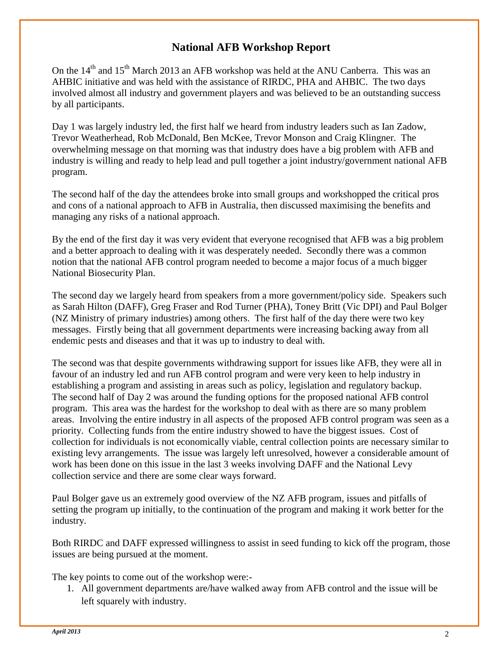### **National AFB Workshop Report**

On the  $14<sup>th</sup>$  and  $15<sup>th</sup>$  March 2013 an AFB workshop was held at the ANU Canberra. This was an AHBIC initiative and was held with the assistance of RIRDC, PHA and AHBIC. The two days involved almost all industry and government players and was believed to be an outstanding success by all participants.

Day 1 was largely industry led, the first half we heard from industry leaders such as Ian Zadow, Trevor Weatherhead, Rob McDonald, Ben McKee, Trevor Monson and Craig Klingner. The overwhelming message on that morning was that industry does have a big problem with AFB and industry is willing and ready to help lead and pull together a joint industry/government national AFB program.

The second half of the day the attendees broke into small groups and workshopped the critical pros and cons of a national approach to AFB in Australia, then discussed maximising the benefits and managing any risks of a national approach.

By the end of the first day it was very evident that everyone recognised that AFB was a big problem and a better approach to dealing with it was desperately needed. Secondly there was a common notion that the national AFB control program needed to become a major focus of a much bigger National Biosecurity Plan.

The second day we largely heard from speakers from a more government/policy side. Speakers such as Sarah Hilton (DAFF), Greg Fraser and Rod Turner (PHA), Toney Britt (Vic DPI) and Paul Bolger (NZ Ministry of primary industries) among others. The first half of the day there were two key messages. Firstly being that all government departments were increasing backing away from all endemic pests and diseases and that it was up to industry to deal with.

The second was that despite governments withdrawing support for issues like AFB, they were all in favour of an industry led and run AFB control program and were very keen to help industry in establishing a program and assisting in areas such as policy, legislation and regulatory backup. The second half of Day 2 was around the funding options for the proposed national AFB control program. This area was the hardest for the workshop to deal with as there are so many problem areas. Involving the entire industry in all aspects of the proposed AFB control program was seen as a priority. Collecting funds from the entire industry showed to have the biggest issues. Cost of collection for individuals is not economically viable, central collection points are necessary similar to existing levy arrangements. The issue was largely left unresolved, however a considerable amount of work has been done on this issue in the last 3 weeks involving DAFF and the National Levy collection service and there are some clear ways forward.

Paul Bolger gave us an extremely good overview of the NZ AFB program, issues and pitfalls of setting the program up initially, to the continuation of the program and making it work better for the industry.

Both RIRDC and DAFF expressed willingness to assist in seed funding to kick off the program, those issues are being pursued at the moment.

The key points to come out of the workshop were:-

1. All government departments are/have walked away from AFB control and the issue will be left squarely with industry.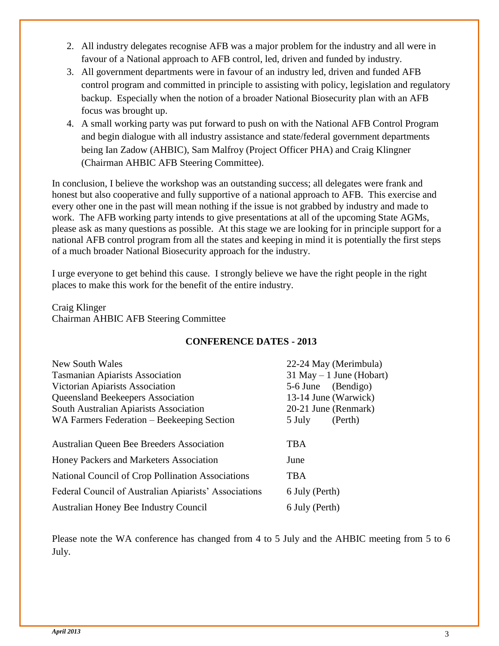- 2. All industry delegates recognise AFB was a major problem for the industry and all were in favour of a National approach to AFB control, led, driven and funded by industry.
- 3. All government departments were in favour of an industry led, driven and funded AFB control program and committed in principle to assisting with policy, legislation and regulatory backup. Especially when the notion of a broader National Biosecurity plan with an AFB focus was brought up.
- 4. A small working party was put forward to push on with the National AFB Control Program and begin dialogue with all industry assistance and state/federal government departments being Ian Zadow (AHBIC), Sam Malfroy (Project Officer PHA) and Craig Klingner (Chairman AHBIC AFB Steering Committee).

In conclusion, I believe the workshop was an outstanding success; all delegates were frank and honest but also cooperative and fully supportive of a national approach to AFB. This exercise and every other one in the past will mean nothing if the issue is not grabbed by industry and made to work. The AFB working party intends to give presentations at all of the upcoming State AGMs, please ask as many questions as possible. At this stage we are looking for in principle support for a national AFB control program from all the states and keeping in mind it is potentially the first steps of a much broader National Biosecurity approach for the industry.

I urge everyone to get behind this cause. I strongly believe we have the right people in the right places to make this work for the benefit of the entire industry.

Craig Klinger Chairman AHBIC AFB Steering Committee

#### **CONFERENCE DATES - 2013**

|                    | 22-24 May (Merimbula)       |
|--------------------|-----------------------------|
|                    |                             |
|                    | $31$ May $-1$ June (Hobart) |
| 5-6 June (Bendigo) |                             |
|                    | 13-14 June (Warwick)        |
|                    | 20-21 June (Renmark)        |
| 5 July             | (Perth)                     |
|                    |                             |
| <b>TBA</b>         |                             |
| June               |                             |
| <b>TBA</b>         |                             |
| 6 July (Perth)     |                             |
| 6 July (Perth)     |                             |
|                    |                             |

Please note the WA conference has changed from 4 to 5 July and the AHBIC meeting from 5 to 6 July.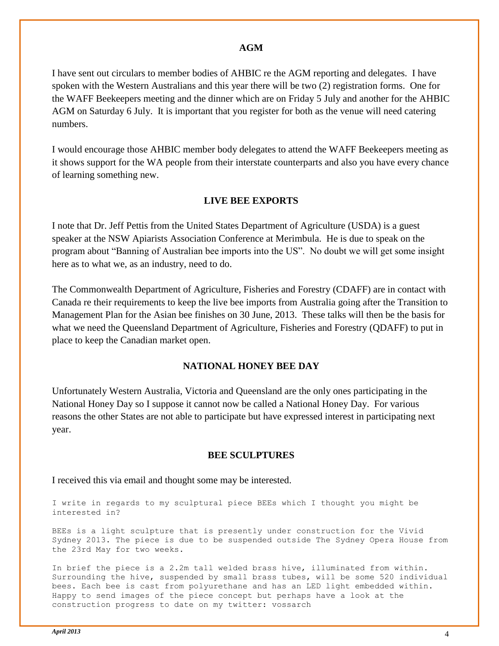#### **AGM**

I have sent out circulars to member bodies of AHBIC re the AGM reporting and delegates. I have spoken with the Western Australians and this year there will be two (2) registration forms. One for the WAFF Beekeepers meeting and the dinner which are on Friday 5 July and another for the AHBIC AGM on Saturday 6 July. It is important that you register for both as the venue will need catering numbers.

I would encourage those AHBIC member body delegates to attend the WAFF Beekeepers meeting as it shows support for the WA people from their interstate counterparts and also you have every chance of learning something new.

#### **LIVE BEE EXPORTS**

I note that Dr. Jeff Pettis from the United States Department of Agriculture (USDA) is a guest speaker at the NSW Apiarists Association Conference at Merimbula. He is due to speak on the program about "Banning of Australian bee imports into the US". No doubt we will get some insight here as to what we, as an industry, need to do.

The Commonwealth Department of Agriculture, Fisheries and Forestry (CDAFF) are in contact with Canada re their requirements to keep the live bee imports from Australia going after the Transition to Management Plan for the Asian bee finishes on 30 June, 2013. These talks will then be the basis for what we need the Queensland Department of Agriculture, Fisheries and Forestry (QDAFF) to put in place to keep the Canadian market open.

#### **NATIONAL HONEY BEE DAY**

Unfortunately Western Australia, Victoria and Queensland are the only ones participating in the National Honey Day so I suppose it cannot now be called a National Honey Day. For various reasons the other States are not able to participate but have expressed interest in participating next year.

#### **BEE SCULPTURES**

I received this via email and thought some may be interested.

I write in regards to my sculptural piece BEEs which I thought you might be interested in?

BEEs is a light sculpture that is presently under construction for the Vivid Sydney 2013. The piece is due to be suspended outside The Sydney Opera House from the 23rd May for two weeks.

In brief the piece is a 2.2m tall welded brass hive, illuminated from within. Surrounding the hive, suspended by small brass tubes, will be some 520 individual bees. Each bee is cast from polyurethane and has an LED light embedded within. Happy to send images of the piece concept but perhaps have a look at the construction progress to date on my twitter: vossarch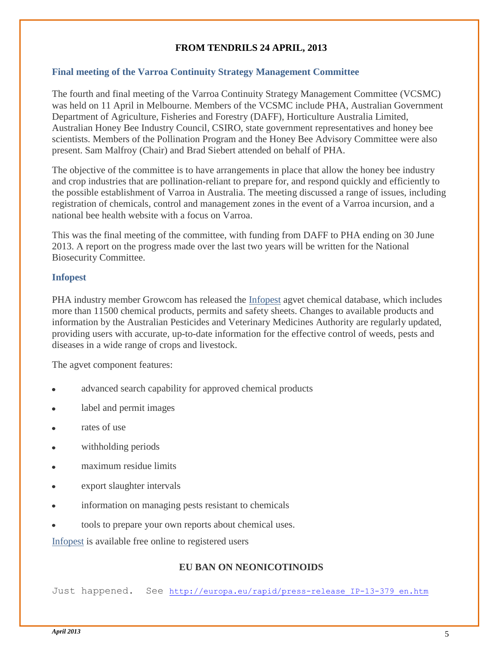#### **FROM TENDRILS 24 APRIL, 2013**

#### **Final meeting of the Varroa Continuity Strategy Management Committee**

The fourth and final meeting of the Varroa Continuity Strategy Management Committee (VCSMC) was held on 11 April in Melbourne. Members of the VCSMC include PHA, Australian Government Department of Agriculture, Fisheries and Forestry (DAFF), Horticulture Australia Limited, Australian Honey Bee Industry Council, CSIRO, state government representatives and honey bee scientists. Members of the Pollination Program and the Honey Bee Advisory Committee were also present. Sam Malfroy (Chair) and Brad Siebert attended on behalf of PHA.

The objective of the committee is to have arrangements in place that allow the honey bee industry and crop industries that are pollination-reliant to prepare for, and respond quickly and efficiently to the possible establishment of Varroa in Australia. The meeting discussed a range of issues, including registration of chemicals, control and management zones in the event of a Varroa incursion, and a national bee health website with a focus on Varroa.

This was the final meeting of the committee, with funding from DAFF to PHA ending on 30 June 2013. A report on the progress made over the last two years will be written for the National Biosecurity Committee.

#### **Infopest**

PHA industry member Growcom has released the [Infopest](http://planthealthaustralia.createsend4.com/t/r-l-oihkldl-eidtitlk-q/) agvet chemical database, which includes more than 11500 chemical products, permits and safety sheets. Changes to available products and information by the Australian Pesticides and Veterinary Medicines Authority are regularly updated, providing users with accurate, up-to-date information for the effective control of weeds, pests and diseases in a wide range of crops and livestock.

The agvet component features:

- advanced search capability for approved chemical products
- label and permit images
- rates of use
- withholding periods
- maximum residue limits
- export slaughter intervals
- information on managing pests resistant to chemicals
- tools to prepare your own reports about chemical uses.

[Infopest](http://planthealthaustralia.createsend4.com/t/r-l-oihkldl-eidtitlk-a/) is available free online to registered users

#### **EU BAN ON NEONICOTINOIDS**

Just happened. See [http://europa.eu/rapid/press-release\\_IP-13-379\\_en.htm](http://europa.eu/rapid/press-release_IP-13-379_en.htm)